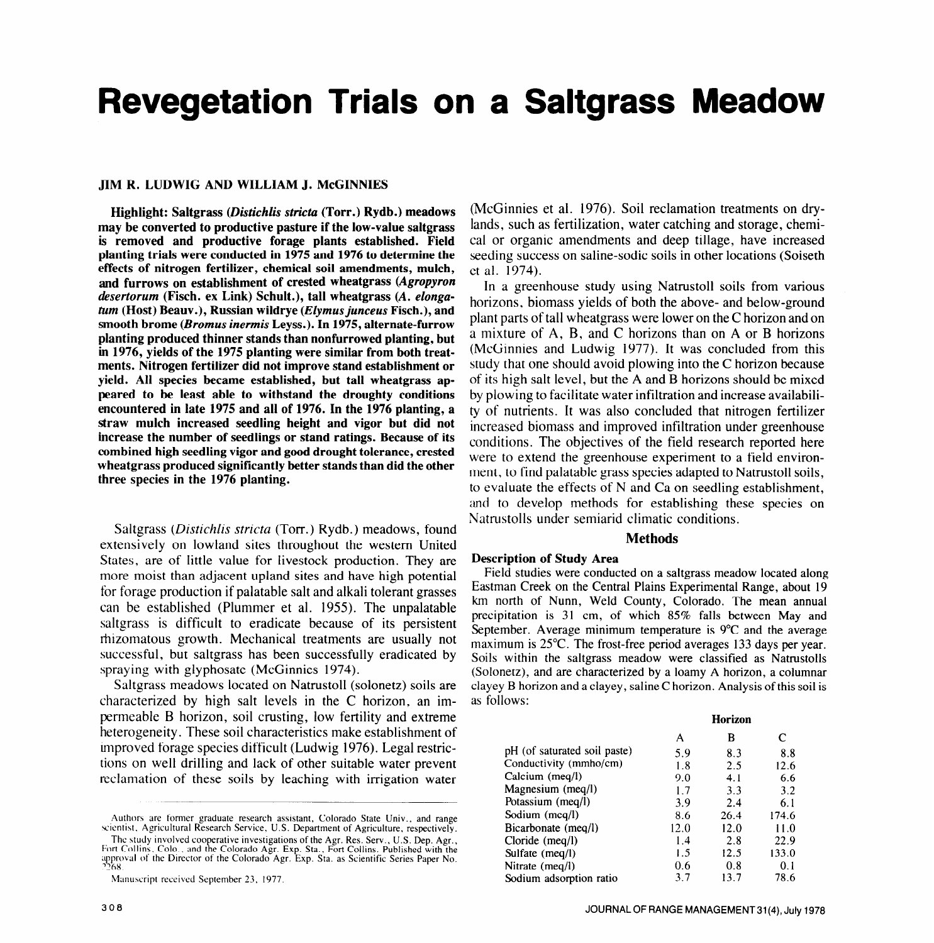# **Revegetation Trials on a Saltgrass Meadow**

#### **JIM R. LUDWIG AND WILLIAM J. McGINNIES**

**Highlight: Saltgrass (Distichlis** *strictu* **(Torr.) Rydb.) meadows may be converted to productive pasture if the low-value saltgrass is removed and productive forage plants established. Field planting trials were conducted in 1975 and 1976 to determine the effects of nitrogen fertilizer, chemical soil amendments, mulch, and furrows on establishment of crested wheatgrass (Agropyron**  *desertorum* **(Fisch. ex Link) Schult.), tall wheatgrass** *(A. elonguturn* **(Host) Beauv.), Russian wildrye** *(Elymus junceus* **Fisch.), and smooth brome** *(Bromus inermis* **Leyss.). In 1975, alternate-furrow planting produced thinner stands than nonfurrowed planting, but in 1976, yields of the 1975 planting were similar from both treatments. Nitrogen fertilizer did not improve stand establishment or yield. All species became established, but tall wheatgrass appeared to be least able to withstand the droughty conditions encountered in late 1975 and all of 1976. In the 1976 planting, a straw mulch increased seedling height and vigor but did not increase the number of seedlings or stand ratings. Because of its combined high seedling vigor and good drought tolerance, crested wheatgrass produced significantly better stands than did the other three species in the 1976 planting.** 

Saltgrass (Distichlis *stricta* (Torr.) Rydb.) meadows, found extensively on lowland sites throughout the western United States, are of little value for livestock production. They are more moist than adjacent upland sites and have high potential for forage production if palatable salt and alkali tolerant grasses can be established (Plummer et al. 1955). The unpalatable saltgrass is difficult to eradicate because of its persistent rhizomatous growth. Mechanical treatments are usually not successful, but saltgrass has been successfully eradicated by spraying with glyphosate (McGinnies 1974).

Saltgrass meadows located on Natrustoll (solonetz) soils are characterized by high salt levels in the C horizon, an impermeable B horizon, soil crusting, low fertility and extreme heterogeneity. These soil characteristics make establishment of improved forage species difficult (Ludwig 1976). Legal restrictions on well drilling and lack of other suitable water prevent reclamation of these soils by leaching with irrigation water (McGinnies et al. 1976). Soil reclamation treatments on drylands, such as fertilization, water catching and storage, chemical or organic amendments and deep tillage, have increased seeding success on saline-sodic soils in other locations (Soiseth et al. 1974).

In a greenhouse study using Natrustoll soils from various horizons, biomass yields of both the above- and below-ground plant parts of tall wheatgrass were lower on the C horizon and on a mixture of A, B, and C horizons than on A or B horizons (McGinnies and Ludwig 1977). It was concluded from this study that one should avoid plowing into the C horizon because of its high salt level, but the A and B horizons should be mixed by plowing to facilitate water infiltration and increase availability of nutrients. It was also concluded that nitrogen fertilizer increased biomass and improved infiltration under greenhouse conditions. The objectives of the field research reported here were to extend the greenhouse experiment to a field environment, to find palatable grass species adapted to Natrustoll soils, to evaluate the effects of N and Ca on seedling establishment, and to develop methods for establishing these species on Natrustolls under semiarid climatic conditions.

#### **Methods**

#### **Description of Study Area**

Field studies were conducted on a saltgrass meadow located along Eastman Creek on the Central Plains Experimental Range, about 19 km north of Nunn, Weld County, Colorado. The mean annual precipitation is 31 cm, of which 85% falls between May and September. Average minimum temperature is 9°C and the average maximum is 25°C. The frost-free period averages 133 days per year. Soils within the saltgrass meadow were classified as Natrustolls (Solonetz), and are characterized by a loamy A horizon, a columnar clayey B horizon and a clayey, saline C horizon. Analysis of this soil is as follows:

|                              | Horizon |      |       |
|------------------------------|---------|------|-------|
|                              | А       | в    | C     |
| pH (of saturated soil paste) | 5.9     | 8.3  | 8.8   |
| Conductivity (mmho/cm)       | 1.8     | 2.5  | 12.6  |
| Calcium (meq/l)              | 9.0     | 4.1  | 6.6   |
| Magnesium (meq/l)            | 1.7     | 3.3  | 3.2   |
| Potassium (meq/l)            | 3.9     | 2.4  | 6.1   |
| Sodium (meq/l)               | 8.6     | 26.4 | 174.6 |
| Bicarbonate (meg/l)          | 12.0    | 12.0 | 11.0  |
| Cloride (meq/l)              | 1.4     | 2.8  | 22.9  |
| Sulfate (meg/l)              | 1.5     | 12.5 | 133.0 |
| Nitrate (meg/l)              | 0.6     | 0.8  | 0.1   |
| Sodium adsorption ratio      | 3.7     | 13.7 | 78.6  |

**Authors are former graduate research assistant, Colorado State Univ., and range**  scientist, Agricultural Research Service, U.S. Department of Agriculture, respectively.

**The study involved cooperative investigations of the Agr. Res. Serv., U.S. Dep. Agr., Fort Collins. Colo.. and the Colorado Agr.** Exp. Sta., Fort Collins. Published with the **approval of the Director of the Colorado Agr. Exp. Sta. as Scientific Series Paper No. 2268.** 

Manuscript received September 23, 1977.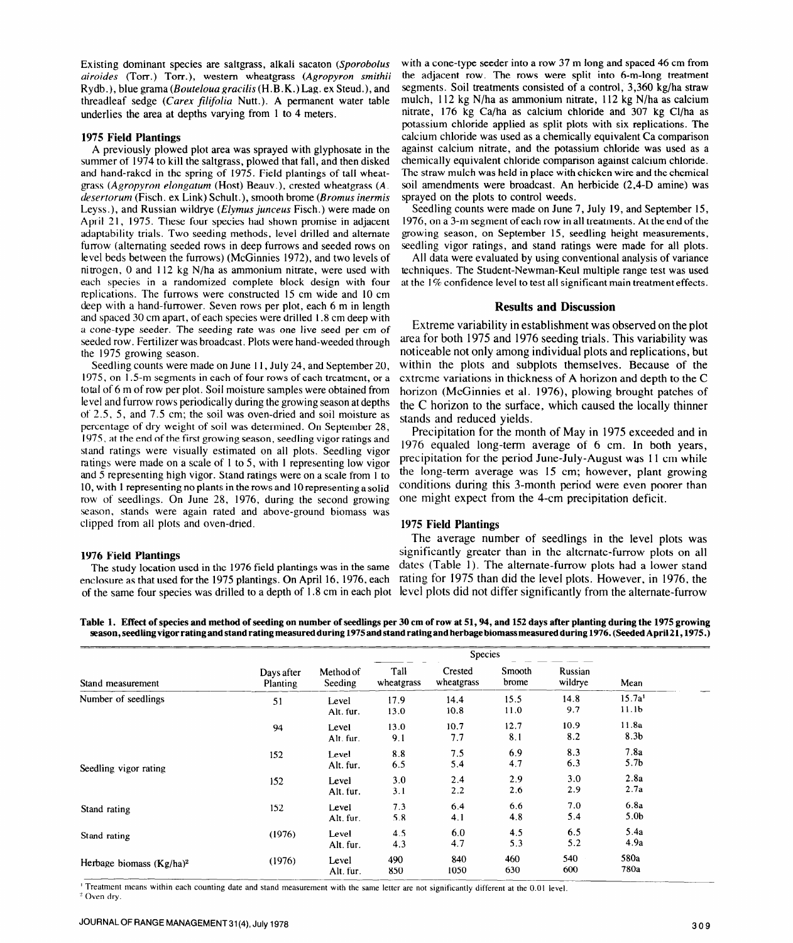Existing dominant species are saltgrass, alkali sacaton (Sporobolus airoides (Torr.) Torr.), western wheatgrass (Agropyron smithii Rydb.), blue grama (Bouteloua *grucilis* (H.B.K.) Lag. ex Steud.), and threadleaf sedge (*Carex filifolia* Nutt.). A permanent water table underlies the area at depths varying from 1 to 4 meters.

### 1975 **Field Plantings**

A previously plowed plot area was sprayed with glyphosate in the summer of 1974 to kill the saltgrass, plowed that fall, and then disked and hand-raked in the spring of 1975. Field plantings of tall wheatgrass *(Agropyron elongutum* (Host) Beauv.), crested wheatgrass (A. *deserrorum* (Fisch. ex Link) Schult.), smooth brome *(Bromus inermis*  Leyss.), and Russian wildrye *(Efymusjunceus* Fisch.) were made on April 21, 1975. These four species had shown promise in adjacent adaptability trials. Two seeding methods, level drilled and alternate furrow (alternating seeded rows in deep furrows and seeded rows on level beds between the furrows) (McGinnies 1972), and two levels of nitrogen, 0 and 1 12 kg N/ha as ammonium nitrate, were used with each species in a randomized complete block design with four replications. The furrows were constructed 15 cm wide and 10 cm deep with a hand-furrower. Seven rows per plot, each 6 m in length and spaced 30 cm apart, of each species were drilled 1.8 cm deep with a cone-type seeder. The seeding rate was one live seed per cm of seeded row. Fertilizer was broadcast. Plots were hand-weeded through the 1975 growing season.

Seedling counts were made on June 11, July 24, and September 20, 1975, on 1.5-m segments in each of four rows of each treatment, or a total of 6 m of row per plot. Soil moisture samples were obtained from level and furrow rows periodically during the growing season at depths of 2.5, 5, and 7.5 cm; the soil was oven-dried and soil moisture as percentage of dry weight of soil was determined. On September 28, 1975, at the end of the first growing season, seedling vigor ratings and stand ratings were visually estimated on all plots. Seedling vigor ratings were made on a scale of 1 to 5, with 1 representing low vigor and 5 representing high vigor. Stand ratings were on a scale from 1 to 10, with 1 representing no plants in the rows and 10 representing a solid row of seedlings. On June 28, 1976, during the second growing season, stands were again rated and above-ground biomass was clipped from all plots and oven-dried.

# 1976 Field **Plantings**

The study location used in the 1976 field plantings was in the same enclosure as that used for the 1975 plantings. On April 16, 1976, each of the same four species was drilled to a depth of 1.8 cm in each plot

with a cone-type seeder into a row 37 m long and spaced 46 cm from the adjacent row. The rows were split into 6-m-long treatment segments. Soil treatments consisted of a control, 3,360 kg/ha straw mulch, 112 kg N/ha as ammonium nitrate, 112 kg N/ha as calcium nitrate, 176 kg Ca/ha as calcium chloride and 307 kg Cl/ha as potassium chloride applied as split plots with six replications. The calcium chloride was used as a chemically equivalent Ca comparison against calcium nitrate, and the potassium chloride was used as a chemically equivalent chloride comparison against calcium chloride. The straw mulch was held in place with chicken wire and the chemical soil amendments were broadcast. An herbicide (2,4-D amine) was sprayed on the plots to control weeds.

Seedling counts were made on June 7, July 19, and September 15, 1976, on a 3-m segment of each row in all treatments. At the end of the growing season, on September 15, seedling height measurements, seedling vigor ratings, and stand ratings were made for all plots.

All data were evaluated by using conventional analysis of variance techniques. The Student-Newman-Keul multiple range test was used at the 1% confidence level to test all significant main treatment effects.

# **Results and Discussion**

Extreme variability in establishment was observed on the plot area for both 1975 and 1976 seeding trials. This variability was noticeable not only among individual plots and replications, but within the plots and subplots themselves. Because of the extreme variations in thickness of A horizon and depth to the C horizon (McGinnies et al. 1976), plowing brought patches of the C horizon to the surface, which caused the locally thinner stands and reduced yields.

Precipitation for the month of May in 1975 exceeded and in 1976 equaled long-term average of 6 cm. In both years, precipitation for the period June-July-August was 11 cm while the long-term average was 15 cm; however, plant growing conditions during this 3-month period were even poorer than one might expect from the 4-cm precipitation deficit.

### 1975 **Field Plantings**

The average number of seedlings in the level plots was significantly greater than in the alternate-furrow plots on all dates (Table 1). The alternate-furrow plots had a lower stand rating for 1975 than did the level plots. However, in 1976, the level plots did not differ significantly from the alternate-furrow

**Table 1. Effect of species and method of seeding on number of seedlings per 30 cm of row at 51,94, and 152 days after planting during the 1975 growing season, seedling vigor rating** and **stand rating measured during 1975 and stand rating and herbage biomass measured during 1976. (Seeded April 21,1975.)** 

| Stand measurement           |                        |                      | Species            |                       |                 |                    |                                         |
|-----------------------------|------------------------|----------------------|--------------------|-----------------------|-----------------|--------------------|-----------------------------------------|
|                             | Days after<br>Planting | Method of<br>Seeding | Tall<br>wheatgrass | Crested<br>wheatgrass | Smooth<br>brome | Russian<br>wildrye | Mean                                    |
| Number of seedlings         | 51                     | Level<br>Alt. fur.   | 17.9<br>13.0       | 14.4<br>10.8          | 15.5<br>11.0    | 14.8<br>9.7        | 15.7a <sup>1</sup><br>11.1 <sub>b</sub> |
|                             | 94                     | Level<br>Alt. fur.   | 13.0<br>9.1        | 10.7<br>7.7           | 12.7<br>8.1     | 10.9<br>8.2        | 11.8a<br>8.3 <sub>b</sub>               |
| Seedling vigor rating       | 152                    | Level<br>Alt. fur.   | 8.8<br>6.5         | 7.5<br>5.4            | 6.9<br>4.7      | 8.3<br>6.3         | 7.8a<br>5.7 <sub>b</sub>                |
|                             | 152                    | Level<br>Alt. fur.   | 3.0<br>3.1         | 2.4<br>2.2            | 2.9<br>2.6      | 3.0<br>2.9         | 2.8a<br>2.7a                            |
| Stand rating                | 152                    | Level<br>Alt. fur.   | 7.3<br>5.8         | 6.4<br>4.1            | 6.6<br>4.8      | 7.0<br>5.4         | 6.8a<br>5.0 <sub>b</sub>                |
| Stand rating                | (1976)                 | Level<br>Alt. fur.   | 4.5<br>4.3         | 6.0<br>4.7            | 4.5<br>5.3      | 6.5<br>5.2         | 5.4a<br>4.9a                            |
| Herbage biomass $(Kg/ha)^2$ | (1976)                 | Level<br>Alt. fur.   | 490<br>850         | 840<br>1050           | 460<br>630      | 540<br>600         | 580a<br>780a                            |

**' Treatment means within each counting date and stand measurement with the same letter are not significantly different at the 0.01 level. ' Oven dry.**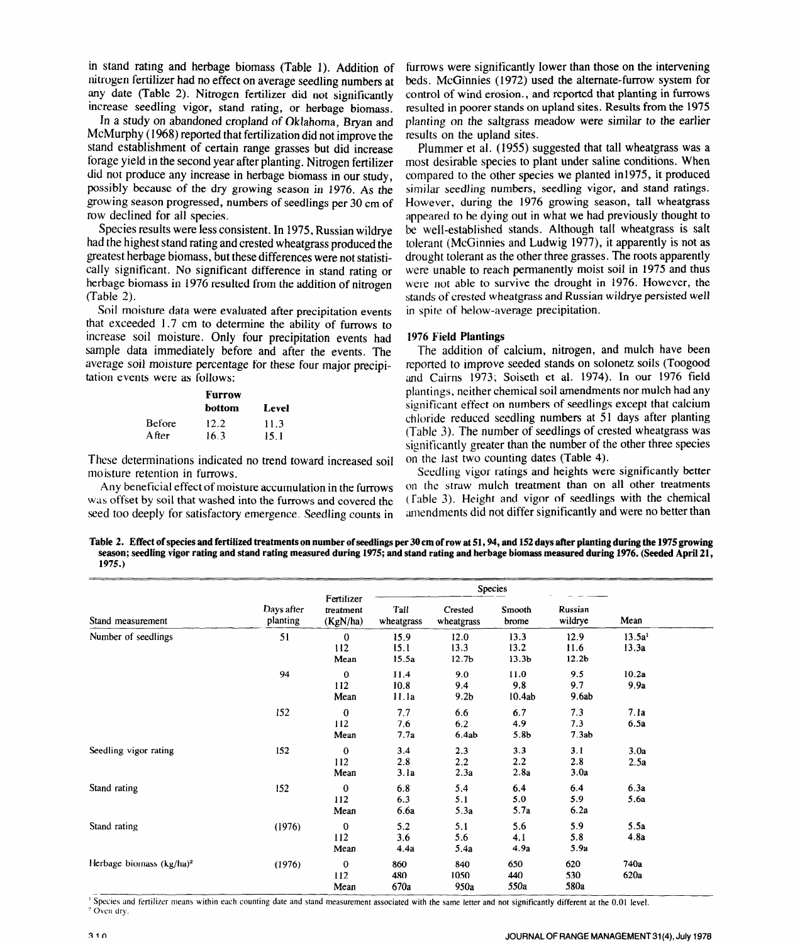in stand rating and herbage biomass (Table 1). Addition of nitrogen fertilizer had no effect on average seedling numbers at any date (Table 2). Nitrogen fertilizer did not significantly increase seedling vigor, stand rating, or herbage biomass.

In a study on abandoned cropland of Oklahoma, Bryan and McMurphy (I 968) reported that fertilization did not improve the stand establishment of certain range grasses but did increase forage yield in the second year after planting. Nitrogen fertilizer did not produce any increase in herbage biomass in our study, possibly because of the dry growing season in 1976. As the growing season progressed, numbers of seedlings per 30 cm of row declined for all species.

Species results were less consistent. In 1975, Russian wildrye had the highest stand rating and crested wheatgrass produced the greatest herbage biomass, but these differences were not statistically significant. No significant difference in stand rating or herbage biomass in 1976 resulted from the addition of nitrogen (Table 2).

Soil moisture data were evaluated after precipitation events that exceeded 1.7 cm to determine the ability of furrows to increase soil moisture. Only four precipitation events had sample data immediately before and after the events. The average soil moisture percentage for these four major precipitation events were as follows:

|        | <b>Furrow</b> |       |
|--------|---------------|-------|
|        | bottom        | Level |
| Before | 12.2          | 11.3  |
| A fter | 16.3          | 15.1  |

These determinations indicated no trend toward increased soil moisture retention in furrows.

Any beneficial effect of moisture accumulation in the furrows was offset by soil that washed into the furrows and covered the seed too deeply for satisfactory emergence. Seedling counts in

furrows were significantly lower than those on the intervening beds. McGinnies (1972) used the alternate-furrow system for control of wind erosion., and reported that planting in furrows resulted in poorer stands on upland sites. Results from the 1975 planting on the saltgrass meadow were similar to the earlier results on the upland sites.

Plummer et al. (1955) suggested that tall wheatgrass was a most desirable species to plant under saline conditions. When compared to the other species we planted in1975, it produced similar seedling numbers, seedling vigor, and stand ratings. However, during the 1976 growing season, tall wheatgrass appeared to be dying out in what we had previously thought to be well-established stands. Although tall wheatgrass is salt tolerant (McGinnies and Ludwig 1977), it apparently is not as drought tolerant as the other three grasses. The roots apparently were unable to reach permanently moist soil in 1975 and thus were not able to survive the drought in 1976. However, the stands of crested wheatgrass and Russian wildrye persisted well in spite of below-average precipitation.

# **1976 Field Plantings**

The addition of calcium, nitrogen, and mulch have been reported to improve seeded stands on solonetz soils (Toogood and Cairns 1973; Soiseth et al. 1974). In our 1976 field plantings, neither chemical soil amendments nor mulch had any significant effect on numbers of seedlings except that calcium chloride reduced seedling numbers at 51 days after planting (Table 3). The number of seedlings of crested wheatgrass was significantly greater than the number of the other three species on the last two counting dates (Table 4).

Seedling vigor ratings and heights were significantly better on the straw mulch treatment than on all other treatments (Table 3). Height and vigor of seedlings with the chemical amendments did not differ significantly and were no better than

**Table 2. Effect of species and fertilized treatments on number of seedlings per 30 cm of row at 51,94, and 152 days after planting during the 1975 growing**  ble 2. Effect of species and lettinged treatments on number of seedlings per 50 cm of row at 51, 94, and 152 days after planting during the 1975 growing season; seedling vigor rating and stand rating measured during 1975; and stand rating and herbage biomass measured during 1976. (Seeded April 21, 1975.)

| Stand measurement                    |                        |                                     | Species               |                                   |                                   |                                   |                             |
|--------------------------------------|------------------------|-------------------------------------|-----------------------|-----------------------------------|-----------------------------------|-----------------------------------|-----------------------------|
|                                      | Days after<br>planting | Fertilizer<br>treatment<br>(KgN/ha) | Tall<br>wheatgrass    | Crested<br>wheatgrass             | Smooth<br>brome                   | Russian<br>wildrye                | Mean                        |
| Number of seedlings                  | 51                     | 0<br>112<br>Mean                    | 15.9<br>15.1<br>15.5a | 12.0<br>13.3<br>12.7 <sub>b</sub> | 13.3<br>13.2<br>13.3 <sub>b</sub> | 12.9<br>11.6<br>12.2 <sub>b</sub> | 13.5a <sup>1</sup><br>13.3a |
|                                      | 94                     | $\bf{0}$<br>112<br>Mean             | 11.4<br>10.8<br>11.1a | 9.0<br>9.4<br>9.2 <sub>b</sub>    | 11.0<br>9.8<br>10.4ab             | 9.5<br>9.7<br>9.6ab               | 10.2a<br>9.9a               |
|                                      | 152                    | $\bf{0}$<br>112<br>Mean             | 7.7<br>7.6<br>7.7a    | 6.6<br>6.2<br>6.4ab               | 6.7<br>4.9<br>5.8b                | 7.3<br>7.3<br>7.3ab               | 7.1a<br>6.5a                |
| Seedling vigor rating                | 152                    | $\bf{0}$<br>112<br>Mean             | 3,4<br>2.8<br>3.1a    | 2.3<br>2.2<br>2.3a                | 3.3<br>2.2<br>2.8a                | 3.1<br>2.8<br>3.0a                | 3.0a<br>2.5a                |
| Stand rating                         | 152                    | $\bf{0}$<br>112<br>Mean             | 6.8<br>6.3<br>6.6a    | 5.4<br>5.1<br>5.3a                | 6.4<br>5.0<br>5.7a                | 6.4<br>5.9<br>6.2a                | 6.3a<br>5.6a                |
| Stand rating                         | (1976)                 | $\bf{0}$<br>112<br>Mean             | 5.2<br>3.6<br>4.4a    | 5.1<br>5.6<br>5.4a                | 5.6<br>4.1<br>4.9a                | 5.9<br>5.8<br>5.9a                | 5.5a<br>4.8a                |
| Herbage biomass (kg/ha) <sup>2</sup> | (1976)                 | $\bf{0}$<br>112<br>Mean             | 860<br>480<br>670a    | 840<br>1050<br>950a               | 650<br>440<br>550a                | 620<br>530<br>580a                | 740a<br>620a                |

<sup>1</sup> Species and fertilizer means within each counting date and stand measurement associated with the same letter and not significantly different at the 0.01 level. <sup>2</sup> Oven dry.